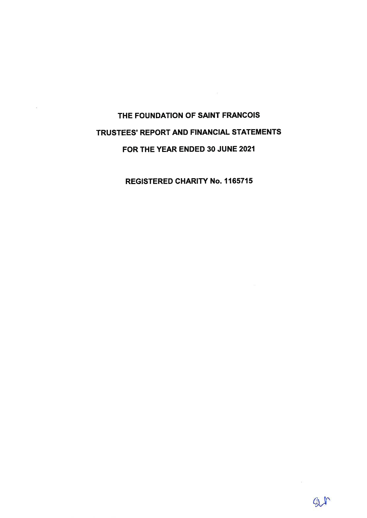# THE FOUNDATION OF SAINT FRANCOIS TRUSTEES' REPORT AND FINANCIAL STATEMENTS FOR THE YEAR ENDED 30 JUNE 2021

**REGISTERED CHARITY No. 1165715**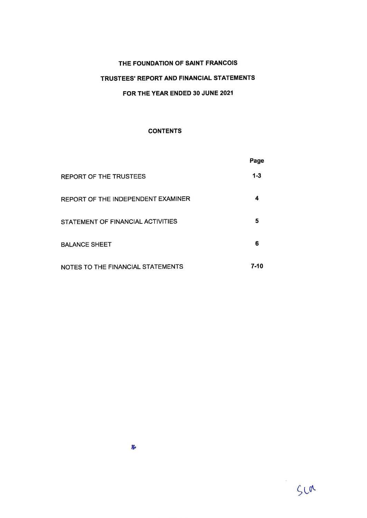# TRUSTEES' REPORT AND FINANCIAL STATEMENTS

### FOR THE YEAR ENDED 30 JUNE 2021

### **CONTENTS**

|                                    | Page     |
|------------------------------------|----------|
| <b>REPORT OF THE TRUSTEES</b>      | $1 - 3$  |
| REPORT OF THE INDEPENDENT EXAMINER | 4        |
| STATEMENT OF FINANCIAL ACTIVITIES  | 5        |
| <b>BALANCE SHEET</b>               | 6        |
| NOTES TO THE FINANCIAL STATEMENTS  | $7 - 10$ |

 $\mathbf{r}$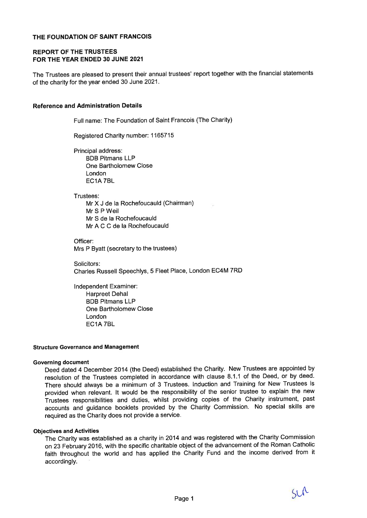### **REPORT OF THE TRUSTEES** FOR THE YEAR ENDED 30 JUNE 2021

The Trustees are pleased to present their annual trustees' report together with the financial statements of the charity for the year ended 30 June 2021.

#### **Reference and Administration Details**

Full name: The Foundation of Saint Francois (The Charity)

Registered Charity number: 1165715

Principal address: **BDB Pitmans LLP** One Bartholomew Close London EC1A7BL

Trustees:

Mr X J de la Rochefoucauld (Chairman) Mr S P Weil Mr S de la Rochefoucauld Mr A C C de la Rochefoucauld

Officer: Mrs P Byatt (secretary to the trustees)

Solicitors: Charles Russell Speechlys, 5 Fleet Place, London EC4M 7RD

Independent Examiner: **Harpreet Dehal BDB Pitmans LLP** One Bartholomew Close London EC1A 7BL

#### **Structure Governance and Management**

#### **Governing document**

Deed dated 4 December 2014 (the Deed) established the Charity. New Trustees are appointed by resolution of the Trustees completed in accordance with clause 8.1.1 of the Deed, or by deed. There should always be a minimum of 3 Trustees. Induction and Training for New Trustees is provided when relevant. It would be the responsibility of the senior trustee to explain the new Trustees responsibilities and duties, whilst providing copies of the Charity instrument, past accounts and guidance booklets provided by the Charity Commission. No special skills are required as the Charity does not provide a service.

#### **Objectives and Activities**

The Charity was established as a charity in 2014 and was registered with the Charity Commission on 23 February 2016, with the specific charitable object of the advancement of the Roman Catholic faith throughout the world and has applied the Charity Fund and the income derived from it accordingly.

 $511$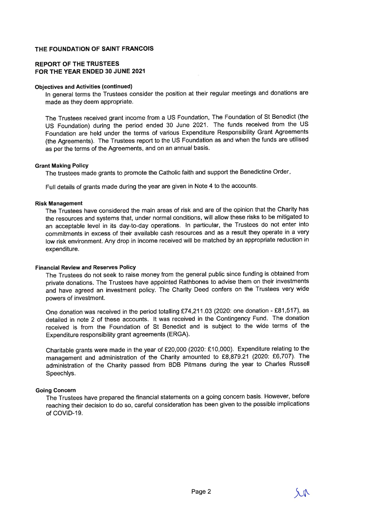### **REPORT OF THE TRUSTEES** FOR THE YEAR ENDED 30 JUNE 2021

#### **Objectives and Activities (continued)**

In general terms the Trustees consider the position at their regular meetings and donations are made as they deem appropriate.

The Trustees received grant income from a US Foundation, The Foundation of St Benedict (the US Foundation) during the period ended 30 June 2021. The funds received from the US Foundation are held under the terms of various Expenditure Responsibility Grant Agreements (the Agreements). The Trustees report to the US Foundation as and when the funds are utilised as per the terms of the Agreements, and on an annual basis.

#### **Grant Making Policy**

The trustees made grants to promote the Catholic faith and support the Benedictine Order.

Full details of grants made during the year are given in Note 4 to the accounts.

#### **Risk Management**

The Trustees have considered the main areas of risk and are of the opinion that the Charity has the resources and systems that, under normal conditions, will allow these risks to be mitigated to an acceptable level in its day-to-day operations. In particular, the Trustees do not enter into commitments in excess of their available cash resources and as a result they operate in a very low risk environment. Any drop in income received will be matched by an appropriate reduction in expenditure.

### **Financial Review and Reserves Policy**

The Trustees do not seek to raise money from the general public since funding is obtained from private donations. The Trustees have appointed Rathbones to advise them on their investments and have agreed an investment policy. The Charity Deed confers on the Trustees very wide powers of investment.

One donation was received in the period totalling £74,211.03 (2020: one donation - £81,517), as detailed in note 2 of these accounts. It was received in the Contingency Fund. The donation received is from the Foundation of St Benedict and is subject to the wide terms of the Expenditure responsibility grant agreements (ERGA).

Charitable grants were made in the year of £20,000 (2020: £10,000). Expenditure relating to the management and administration of the Charity amounted to £8,879.21 (2020: £6,707). The administration of the Charity passed from BDB Pitmans during the year to Charles Russell Speechlys.

### **Going Concern**

The Trustees have prepared the financial statements on a going concern basis. However, before reaching their decision to do so, careful consideration has been given to the possible implications of COVID-19.

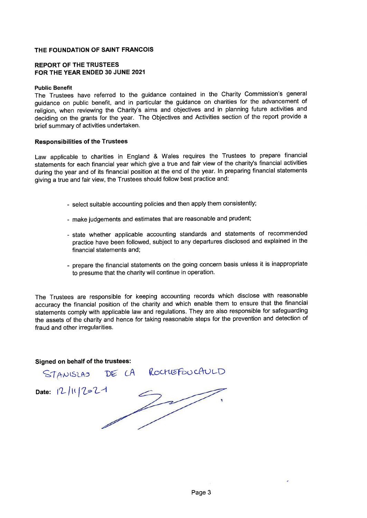### **REPORT OF THE TRUSTEES** FOR THE YEAR ENDED 30 JUNE 2021

#### **Public Benefit**

The Trustees have referred to the guidance contained in the Charity Commission's general guidance on public benefit, and in particular the guidance on charities for the advancement of religion, when reviewing the Charity's aims and objectives and in planning future activities and deciding on the grants for the year. The Objectives and Activities section of the report provide a brief summary of activities undertaken.

#### **Responsibilities of the Trustees**

Law applicable to charities in England & Wales requires the Trustees to prepare financial statements for each financial year which give a true and fair view of the charity's financial activities during the year and of its financial position at the end of the year. In preparing financial statements giving a true and fair view, the Trustees should follow best practice and:

- select suitable accounting policies and then apply them consistently;
- make judgements and estimates that are reasonable and prudent;
- state whether applicable accounting standards and statements of recommended practice have been followed, subject to any departures disclosed and explained in the financial statements and;
- prepare the financial statements on the going concern basis unless it is inappropriate to presume that the charity will continue in operation.

The Trustees are responsible for keeping accounting records which disclose with reasonable accuracy the financial position of the charity and which enable them to ensure that the financial statements comply with applicable law and regulations. They are also responsible for safeguarding the assets of the charity and hence for taking reasonable steps for the prevention and detection of fraud and other irregularities.

### Signed on behalf of the trustees:

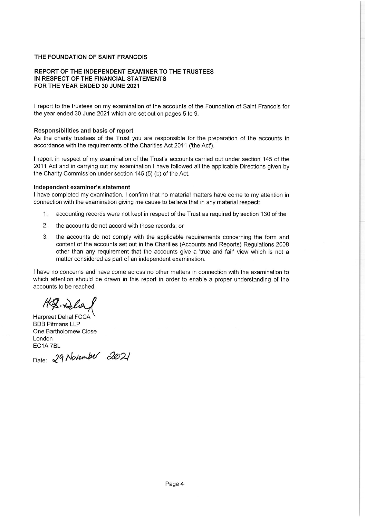### REPORT OF THE INDEPENDENT EXAMINER TO THE TRUSTEES IN RESPECT OF THE FINANCIAL STATEMENTS FOR THE YEAR ENDED 30 JUNE 2021

I report to the trustees on my examination of the accounts of the Foundation of Saint Francois for the year ended 30 June 2021 which are set out on pages 5 to 9.

#### Responsibilities and basis of report

As the charity trustees of the Trust you are responsible for the preparation of the accounts in accordance with the requirements of the Charities Act 2011 ('the Act').

I report in respect of my examination of the Trust's accounts carried out under section 145 of the 2011 Act and in carrying out my examination I have followed all the applicable Directions given by the Charity Commission under section 145 (5) (b) of the Act.

### Independent examiner's statement

I have completed my examination. I confirm that no material matters have come to my attention in connection with the examination giving me cause to believe that in any material respect:

- $1$ accounting records were not kept in respect of the Trust as required by section 130 of the
- $2.$ the accounts do not accord with those records; or
- 3. the accounts do not comply with the applicable requirements concerning the form and content of the accounts set out in the Charities (Accounts and Reports) Regulations 2008 other than any requirement that the accounts give a 'true and fair' view which is not a matter considered as part of an independent examination.

I have no concerns and have come across no other matters in connection with the examination to which attention should be drawn in this report in order to enable a proper understanding of the accounts to be reached.

H.S. Delia

Harpreet Dehal FCCA **BDB Pitmans LLP** One Bartholomew Close London EC1A 7BL

Date: 29 November 2021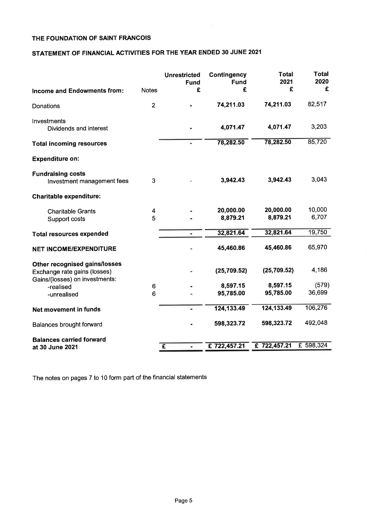# STATEMENT OF FINANCIAL ACTIVITIES FOR THE YEAR ENDED 30 JUNE 2021

|                                                                                                 |                | <b>Unrestricted</b><br><b>Fund</b> | <b>Contingency</b><br><b>Fund</b> | <b>Total</b><br>2021  | Total<br>2020   |
|-------------------------------------------------------------------------------------------------|----------------|------------------------------------|-----------------------------------|-----------------------|-----------------|
| Income and Endowments from:                                                                     | <b>Notes</b>   | £                                  | £                                 | £                     | £               |
| Donations                                                                                       | $\overline{2}$ |                                    | 74,211.03                         | 74,211.03             | 82,517          |
| Investments<br>Dividends and interest                                                           |                |                                    | 4,071.47                          | 4,071.47              | 3,203           |
| <b>Total incoming resources</b>                                                                 |                |                                    | 78,282.50                         | 78,282.50             | 85,720          |
| <b>Expenditure on:</b>                                                                          |                |                                    |                                   |                       |                 |
| <b>Fundraising costs</b><br>Investment management fees                                          | 3              |                                    | 3,942.43                          | 3,942.43              | 3,043           |
| <b>Charitable expenditure:</b>                                                                  |                |                                    |                                   |                       |                 |
| <b>Charitable Grants</b><br>Support costs                                                       | 4<br>5         |                                    | 20,000.00<br>8,879.21             | 20,000.00<br>8,879.21 | 10,000<br>6,707 |
| <b>Total resources expended</b>                                                                 |                |                                    | 32,821.64                         | 32,821.64             | 19,750          |
| <b>NET INCOME/EXPENDITURE</b>                                                                   |                |                                    | 45,460.86                         | 45,460.86             | 65,970          |
| Other recognised gains/losses<br>Exchange rate gains (losses)<br>Gains/(losses) on investments: |                |                                    | (25, 709.52)                      | (25, 709.52)          | 4,186           |
| -realised                                                                                       | 6              |                                    | 8,597.15                          | 8,597.15              | (579)           |
| -unrealised                                                                                     | 6              |                                    | 95,785.00                         | 95,785.00             | 36,699          |
| Net movement in funds                                                                           |                |                                    | 124,133.49                        | 124,133.49            | 106,276         |
| Balances brought forward                                                                        |                |                                    | 598,323.72                        | 598,323.72            | 492,048         |
| <b>Balances carried forward</b>                                                                 |                |                                    |                                   |                       |                 |
| at 30 June 2021                                                                                 |                | $\overline{f}$<br>۰                | £722,457.21                       | £722,457.21           | £ 598,324       |

 $\sim$ 

The notes on pages 7 to 10 form part of the financial statements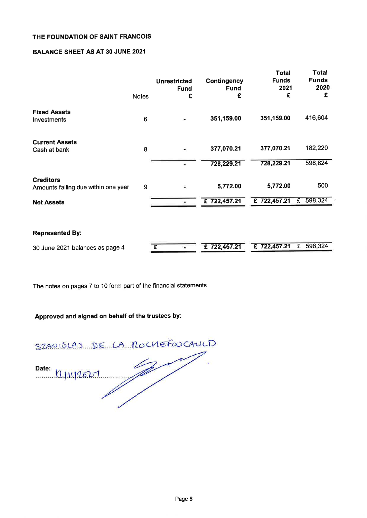### **BALANCE SHEET AS AT 30 JUNE 2021**

|                                                         | <b>Notes</b> | <b>Unrestricted</b><br><b>Fund</b><br>£ | <b>Contingency</b><br><b>Fund</b><br>£ | <b>Total</b><br><b>Funds</b><br>2021<br>£ | <b>Total</b><br><b>Funds</b><br>2020<br>£ |
|---------------------------------------------------------|--------------|-----------------------------------------|----------------------------------------|-------------------------------------------|-------------------------------------------|
| <b>Fixed Assets</b><br>Investments                      | 6            |                                         | 351,159.00                             | 351,159.00                                | 416,604                                   |
| <b>Current Assets</b><br>Cash at bank                   | 8            |                                         | 377,070.21                             | 377,070.21                                | 182,220                                   |
|                                                         |              |                                         | 728,229.21                             | 728,229.21                                | 598,824                                   |
| <b>Creditors</b><br>Amounts falling due within one year | 9            |                                         | 5,772.00                               | 5,772.00                                  | 500                                       |
| <b>Net Assets</b>                                       |              |                                         | £722,457.21                            | £722,457.21                               | £ 598,324                                 |
|                                                         |              |                                         |                                        |                                           |                                           |
| <b>Represented By:</b>                                  |              |                                         |                                        |                                           |                                           |
| 30 June 2021 balances as page 4                         |              | £                                       | £722,457.21                            | £722,457.21                               | £ 598,324                                 |

The notes on pages 7 to 10 form part of the financial statements

# Approved and signed on behalf of the trustees by:

STANISLAS DE LA ROCHEFOUCAULD Date: 12/11/2021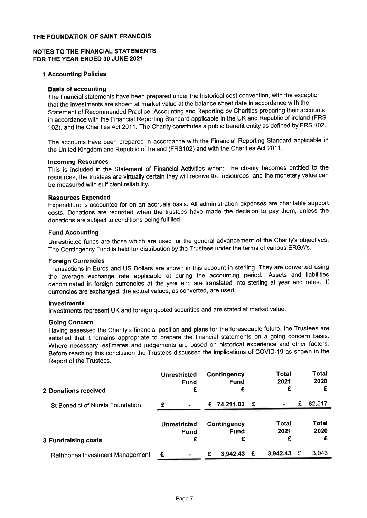### NOTES TO THE FINANCIAL STATEMENTS FOR THE YEAR ENDED 30 JUNE 2021

### **1 Accounting Policies**

### **Basis of accounting**

The financial statements have been prepared under the historical cost convention, with the exception that the investments are shown at market value at the balance sheet date in accordance with the Statement of Recommended Practice: Accounting and Reporting by Charities preparing their accounts in accordance with the Financial Reporting Standard applicable in the UK and Republic of Ireland (FRS 102), and the Charities Act 2011. The Charity constitutes a public benefit entity as defined by FRS 102.

The accounts have been prepared in accordance with the Financial Reporting Standard applicable in the United Kingdom and Republic of Ireland (FRS102) and with the Charities Act 2011.

#### **Incoming Resources**

This is included in the Statement of Financial Activities when: The charity becomes entitled to the resources, the trustees are virtually certain they will receive the resources; and the monetary value can be measured with sufficient reliability.

### **Resources Expended**

Expenditure is accounted for on an accruals basis. All administration expenses are charitable support costs. Donations are recorded when the trustees have made the decision to pay them, unless the donations are subject to conditions being fulfilled.

### **Fund Accounting**

Unrestricted funds are those which are used for the general advancement of the Charity's objectives. The Contingency Fund is held for distribution by the Trustees under the terms of various ERGA's.

### **Foreign Currencies**

Transactions in Euros and US Dollars are shown in this account in sterling. They are converted using the average exchange rate applicable at during the accounting period. Assets and liabilities denominated in foreign currencies at the year end are translated into sterling at year end rates. If currencies are exchanged, the actual values, as converted, are used.

### **Investments**

Investments represent UK and foreign quoted securities and are stated at market value.

#### **Going Concern**

Having assessed the Charity's financial position and plans for the foreseeable future, the Trustees are satisfied that it remains appropriate to prepare the financial statements on a going concern basis. Where necessary estimates and judgements are based on historical experience and other factors. Before reaching this conclusion the Trustees discussed the implications of COVID-19 as shown in the Report of the Trustees.

| 2 Donations received             | <b>Unrestricted</b><br><b>Fund</b><br>£ |   | Contingency<br><b>Fund</b><br>£ |   | Total<br>2021<br>£ |   | Total<br>2020<br>£        |
|----------------------------------|-----------------------------------------|---|---------------------------------|---|--------------------|---|---------------------------|
| St Benedict of Nursia Foundation | $\sim$                                  |   | £ 74,211.03 £                   |   |                    | £ | 82,517                    |
| 3 Fundraising costs              | <b>Unrestricted</b><br>Fund<br>£        |   | Contingency<br>Fund             |   | Total<br>2021<br>£ |   | <b>Total</b><br>2020<br>£ |
| Rathbones Investment Management  |                                         | £ | 3,942.43                        | £ | 3,942.43           | £ | 3,043                     |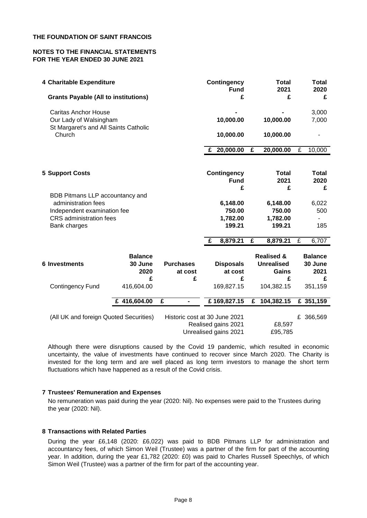### **NOTES TO THE FINANCIAL STATEMENTS FOR THE YEAR ENDED 30 JUNE 2021**

| 4 Charitable Expenditure                                                                       |                                        |                                   | <b>Contingency</b><br><b>Fund</b>                                             | <b>Total</b><br>2021                                     |                | <b>Total</b><br>2020                   |
|------------------------------------------------------------------------------------------------|----------------------------------------|-----------------------------------|-------------------------------------------------------------------------------|----------------------------------------------------------|----------------|----------------------------------------|
| <b>Grants Payable (All to institutions)</b>                                                    |                                        |                                   | £                                                                             | £                                                        |                | £                                      |
| <b>Caritas Anchor House</b><br>Our Lady of Walsingham<br>St Margaret's and All Saints Catholic |                                        |                                   | 10,000.00                                                                     | 10,000.00                                                |                | 3,000<br>7,000                         |
| Church                                                                                         |                                        |                                   | 10,000.00                                                                     | 10,000.00                                                |                |                                        |
|                                                                                                |                                        |                                   | £ $20,000.00$                                                                 | 20,000.00<br>£                                           | $\overline{f}$ | 10,000                                 |
| <b>5 Support Costs</b>                                                                         |                                        |                                   | <b>Contingency</b><br><b>Fund</b>                                             | <b>Total</b><br>2021                                     |                | <b>Total</b><br>2020                   |
| BDB Pitmans LLP accountancy and                                                                |                                        |                                   | £                                                                             | £                                                        |                | £                                      |
| administration fees                                                                            |                                        |                                   | 6,148.00                                                                      | 6,148.00                                                 |                | 6,022                                  |
| Independent examination fee                                                                    |                                        |                                   | 750.00                                                                        | 750.00                                                   |                | 500                                    |
| CRS administration fees<br>Bank charges                                                        |                                        |                                   | 1,782.00<br>199.21                                                            | 1,782.00<br>199.21                                       |                | 185                                    |
|                                                                                                |                                        |                                   |                                                                               |                                                          |                |                                        |
|                                                                                                |                                        |                                   | 8,879.21<br>£                                                                 | £<br>8,879.21                                            | £              | 6,707                                  |
| <b>6 Investments</b>                                                                           | <b>Balance</b><br>30 June<br>2020<br>£ | <b>Purchases</b><br>at cost<br>£  | <b>Disposals</b><br>at cost<br>£                                              | <b>Realised &amp;</b><br><b>Unrealised</b><br>Gains<br>£ |                | <b>Balance</b><br>30 June<br>2021<br>£ |
| <b>Contingency Fund</b>                                                                        | 416,604.00                             |                                   | 169,827.15                                                                    | 104,382.15                                               |                | 351,159                                |
|                                                                                                | £ 416,604.00                           | £<br>$\qquad \qquad \blacksquare$ | £169,827.15                                                                   | 104,382.15<br>£                                          |                | $\overline{£}$ 351,159                 |
| (All UK and foreign Quoted Securities)                                                         |                                        |                                   | Historic cost at 30 June 2021<br>Realised gains 2021<br>Unrealised gains 2021 | £8,597<br>£95,785                                        |                | £ 366,569                              |

Although there were disruptions caused by the Covid 19 pandemic, which resulted in economic uncertainty, the value of investments have continued to recover since March 2020. The Charity is invested for the long term and are well placed as long term investors to manage the short term fluctuations which have happened as a result of the Covid crisis.

### **7 Trustees' Remuneration and Expenses**

No remuneration was paid during the year (2020: Nil). No expenses were paid to the Trustees during the year (2020: Nil).

### **8 Transactions with Related Parties**

During the year £6,148 (2020: £6,022) was paid to BDB Pitmans LLP for administration and accountancy fees, of which Simon Weil (Trustee) was a partner of the firm for part of the accounting year. In addition, during the year £1,782 (2020: £0) was paid to Charles Russell Speechlys, of which Simon Weil (Trustee) was a partner of the firm for part of the accounting year.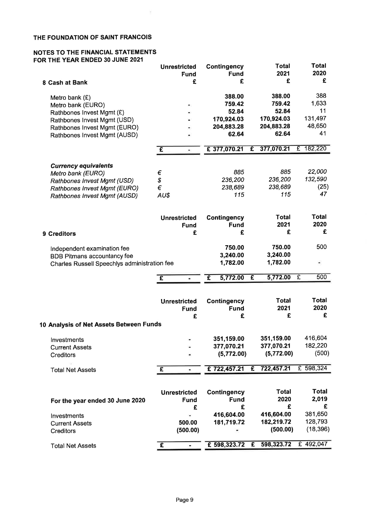$\frac{1}{\sqrt{2}}$ 

### NOTES TO THE FINANCIAL STATEMENTS FOR THE YEAR ENDED 30 JUNE 2021

|                                                                            | <b>Unrestricted</b><br><b>Fund</b> | Contingency<br><b>Fund</b> |              | <b>Total</b><br>2021   | <b>Total</b><br>2020  |
|----------------------------------------------------------------------------|------------------------------------|----------------------------|--------------|------------------------|-----------------------|
| 8 Cash at Bank                                                             | £                                  | £                          |              | £                      | £                     |
| Metro bank $(E)$<br>Metro bank (EURO)                                      |                                    | 388.00<br>759.42           |              | 388.00<br>759.42       | 388<br>1,633          |
| Rathbones Invest Mgmt (£)<br>Rathbones Invest Mgmt (USD)                   |                                    | 52.84<br>170,924.03        |              | 52.84<br>170,924.03    | 11<br>131,497         |
| Rathbones Invest Mgmt (EURO)                                               |                                    | 204,883.28                 |              | 204,883.28             | 48,650                |
| Rathbones Invest Mgmt (AUSD)                                               |                                    | 62.64                      |              | 62.64                  | 41                    |
|                                                                            | £<br>×.                            | £ 377,070.21               | $\mathbf{f}$ | 377,070.21             | £ 182,220             |
| <b>Currency equivalents</b>                                                |                                    |                            |              |                        |                       |
| Metro bank (EURO)                                                          | €                                  | 885                        |              | 885                    | 22,000                |
| Rathbones Invest Mgmt (USD)                                                | \$<br>$\epsilon$                   | 236,200<br>238,689         |              | 236,200<br>238,689     | 132,590<br>(25)       |
| <b>Rathbones Invest Mgmt (EURO)</b><br><b>Rathbones Invest Mgmt (AUSD)</b> | AU\$                               | 115                        |              | 115                    | 47                    |
|                                                                            |                                    |                            |              |                        |                       |
|                                                                            | <b>Unrestricted</b>                | <b>Contingency</b>         |              | <b>Total</b>           | Total                 |
|                                                                            | <b>Fund</b>                        | <b>Fund</b>                |              | 2021                   | 2020                  |
| 9 Creditors                                                                | £                                  | £                          |              | £                      | £                     |
| Independent examination fee                                                |                                    | 750.00                     |              | 750.00                 | 500                   |
| <b>BDB Pitmans accountancy fee</b>                                         |                                    | 3,240.00                   |              | 3,240.00               |                       |
| Charles Russell Speechlys administration fee                               |                                    | 1,782.00                   |              | 1,782.00               | ÷,                    |
|                                                                            | £<br>٠                             | 5,772.00<br>£              | £            | 5,772.00               | $\overline{f}$<br>500 |
|                                                                            |                                    |                            |              |                        |                       |
|                                                                            | <b>Unrestricted</b>                | <b>Contingency</b>         |              | Total                  | <b>Total</b>          |
|                                                                            | <b>Fund</b>                        | <b>Fund</b>                |              | 2021                   | 2020                  |
|                                                                            | £                                  | £                          |              | £                      | £                     |
| 10 Analysis of Net Assets Between Funds                                    |                                    |                            |              |                        |                       |
| Investments                                                                |                                    | 351,159.00                 |              | 351,159.00             | 416,604               |
| <b>Current Assets</b>                                                      |                                    | 377,070.21                 |              | 377,070.21             | 182,220               |
| <b>Creditors</b>                                                           |                                    | (5,772.00)                 |              | (5,772.00)             | (500)                 |
| <b>Total Net Assets</b>                                                    | $\overline{f}$<br>۰                | £722,457.21                | £            | 722,457.21             | £ 598,324             |
|                                                                            |                                    |                            |              |                        |                       |
|                                                                            | <b>Unrestricted</b>                | <b>Contingency</b>         |              | <b>Total</b>           | <b>Total</b>          |
| For the year ended 30 June 2020                                            | <b>Fund</b>                        | <b>Fund</b>                |              | 2020                   | 2,019                 |
|                                                                            | £                                  | £                          |              | £                      | £                     |
| Investments                                                                |                                    | 416,604.00                 |              | 416,604.00             | 381,650<br>128,793    |
| <b>Current Assets</b>                                                      | 500.00                             | 181,719.72                 |              | 182,219.72<br>(500.00) | (18, 396)             |
| Creditors                                                                  | (500.00)                           |                            |              |                        |                       |
| <b>Total Net Assets</b>                                                    | £<br>÷                             | £ 598,323.72 £             |              | 598,323.72             | £ 492,047             |